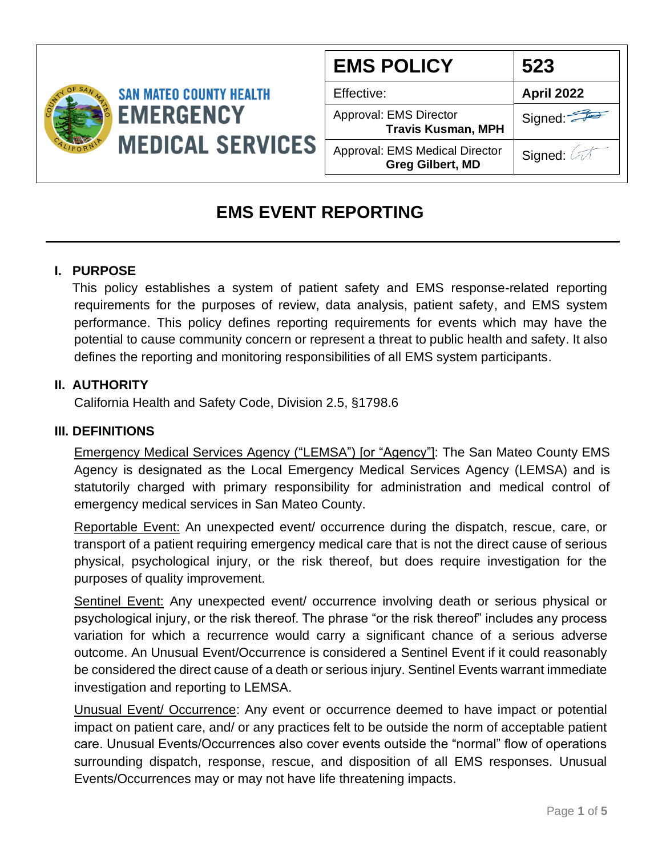

| <b>EMS POLICY</b>                                                | 523               |
|------------------------------------------------------------------|-------------------|
| Effective:                                                       | <b>April 2022</b> |
| Approval: EMS Director<br><b>Travis Kusman, MPH</b>              | Signed:           |
| <b>Approval: EMS Medical Director</b><br><b>Greg Gilbert, MD</b> | Signed: 2         |

# **EMS EVENT REPORTING**

# **I. PURPOSE**

 This policy establishes a system of patient safety and EMS response-related reporting requirements for the purposes of review, data analysis, patient safety, and EMS system performance. This policy defines reporting requirements for events which may have the potential to cause community concern or represent a threat to public health and safety. It also defines the reporting and monitoring responsibilities of all EMS system participants.

### **II. AUTHORITY**

California Health and Safety Code, Division 2.5, §1798.6

#### **III. DEFINITIONS**

Emergency Medical Services Agency ("LEMSA") [or "Agency"]: The San Mateo County EMS Agency is designated as the Local Emergency Medical Services Agency (LEMSA) and is statutorily charged with primary responsibility for administration and medical control of emergency medical services in San Mateo County.

Reportable Event: An unexpected event/ occurrence during the dispatch, rescue, care, or transport of a patient requiring emergency medical care that is not the direct cause of serious physical, psychological injury, or the risk thereof, but does require investigation for the purposes of quality improvement.

Sentinel Event: Any unexpected event/ occurrence involving death or serious physical or psychological injury, or the risk thereof. The phrase "or the risk thereof" includes any process variation for which a recurrence would carry a significant chance of a serious adverse outcome. An Unusual Event/Occurrence is considered a Sentinel Event if it could reasonably be considered the direct cause of a death or serious injury. Sentinel Events warrant immediate investigation and reporting to LEMSA.

Unusual Event/ Occurrence: Any event or occurrence deemed to have impact or potential impact on patient care, and/ or any practices felt to be outside the norm of acceptable patient care. Unusual Events/Occurrences also cover events outside the "normal" flow of operations surrounding dispatch, response, rescue, and disposition of all EMS responses. Unusual Events/Occurrences may or may not have life threatening impacts.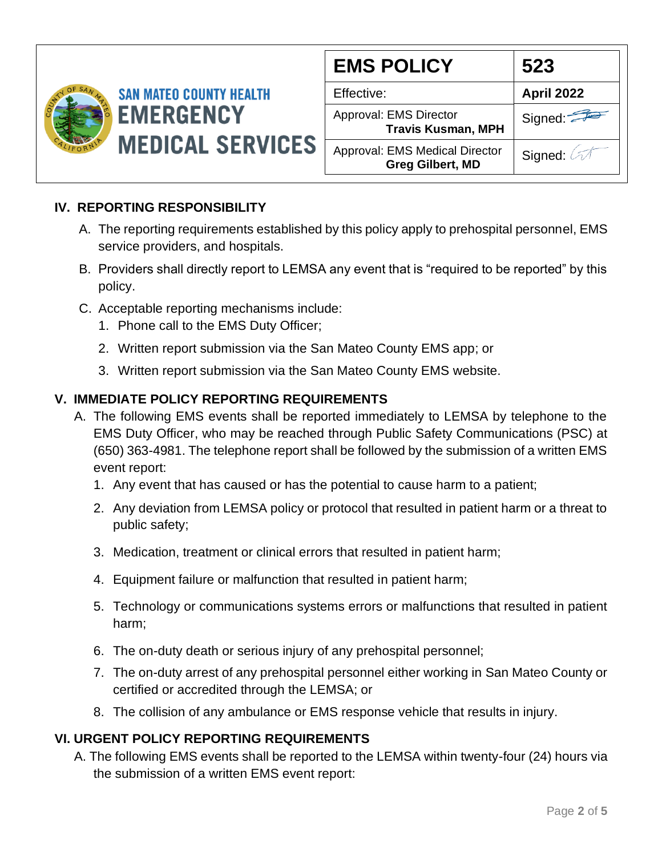

| <b>EMS POLICY</b>                                         | 523               |
|-----------------------------------------------------------|-------------------|
| Effective:                                                | <b>April 2022</b> |
| Approval: EMS Director<br><b>Travis Kusman, MPH</b>       | Signed:           |
| Approval: EMS Medical Director<br><b>Greg Gilbert, MD</b> | Signed: 2         |

# **IV. REPORTING RESPONSIBILITY**

- A. The reporting requirements established by this policy apply to prehospital personnel, EMS service providers, and hospitals.
- B. Providers shall directly report to LEMSA any event that is "required to be reported" by this policy.
- C. Acceptable reporting mechanisms include:
	- 1. Phone call to the EMS Duty Officer;
	- 2. Written report submission via the San Mateo County EMS app; or
	- 3. Written report submission via the San Mateo County EMS website.

### **V. IMMEDIATE POLICY REPORTING REQUIREMENTS**

- A. The following EMS events shall be reported immediately to LEMSA by telephone to the EMS Duty Officer, who may be reached through Public Safety Communications (PSC) at (650) 363-4981. The telephone report shall be followed by the submission of a written EMS event report:
	- 1. Any event that has caused or has the potential to cause harm to a patient;
	- 2. Any deviation from LEMSA policy or protocol that resulted in patient harm or a threat to public safety;
	- 3. Medication, treatment or clinical errors that resulted in patient harm;
	- 4. Equipment failure or malfunction that resulted in patient harm;
	- 5. Technology or communications systems errors or malfunctions that resulted in patient harm;
	- 6. The on-duty death or serious injury of any prehospital personnel;
	- 7. The on-duty arrest of any prehospital personnel either working in San Mateo County or certified or accredited through the LEMSA; or
	- 8. The collision of any ambulance or EMS response vehicle that results in injury.

## **VI. URGENT POLICY REPORTING REQUIREMENTS**

A. The following EMS events shall be reported to the LEMSA within twenty-four (24) hours via the submission of a written EMS event report: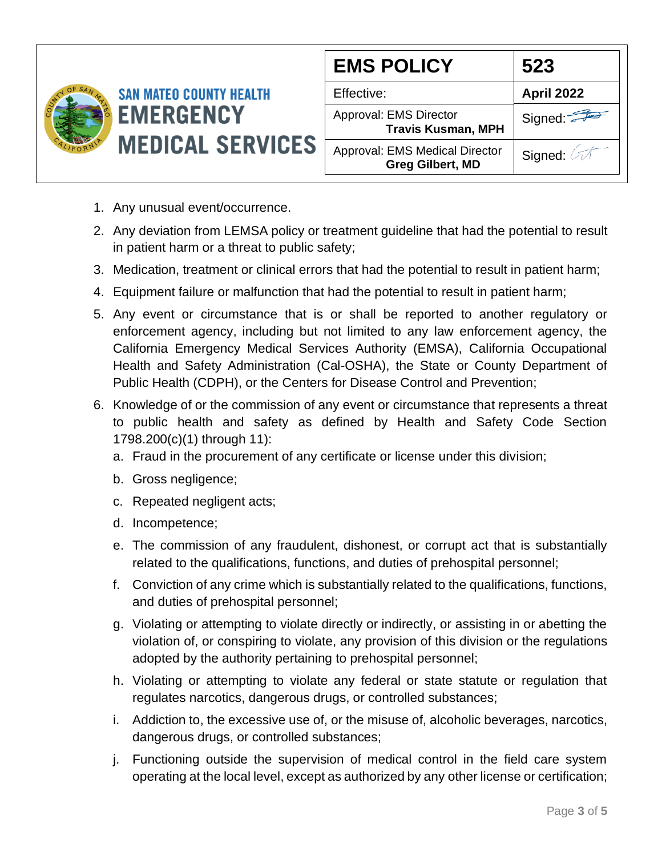

| <b>EMS POLICY</b>                                         | 523               |
|-----------------------------------------------------------|-------------------|
| Effective:                                                | <b>April 2022</b> |
| Approval: EMS Director<br><b>Travis Kusman, MPH</b>       | Signed:           |
| Approval: EMS Medical Director<br><b>Greg Gilbert, MD</b> | Signed: 4         |

- 1. Any unusual event/occurrence.
- 2. Any deviation from LEMSA policy or treatment guideline that had the potential to result in patient harm or a threat to public safety;
- 3. Medication, treatment or clinical errors that had the potential to result in patient harm;
- 4. Equipment failure or malfunction that had the potential to result in patient harm;
- 5. Any event or circumstance that is or shall be reported to another regulatory or enforcement agency, including but not limited to any law enforcement agency, the California Emergency Medical Services Authority (EMSA), California Occupational Health and Safety Administration (Cal-OSHA), the State or County Department of Public Health (CDPH), or the Centers for Disease Control and Prevention;
- 6. Knowledge of or the commission of any event or circumstance that represents a threat to public health and safety as defined by Health and Safety Code Section 1798.200(c)(1) through 11):
	- a. Fraud in the procurement of any certificate or license under this division;
	- b. Gross negligence;
	- c. Repeated negligent acts;
	- d. Incompetence;
	- e. The commission of any fraudulent, dishonest, or corrupt act that is substantially related to the qualifications, functions, and duties of prehospital personnel;
	- f. Conviction of any crime which is substantially related to the qualifications, functions, and duties of prehospital personnel;
	- g. Violating or attempting to violate directly or indirectly, or assisting in or abetting the violation of, or conspiring to violate, any provision of this division or the regulations adopted by the authority pertaining to prehospital personnel;
	- h. Violating or attempting to violate any federal or state statute or regulation that regulates narcotics, dangerous drugs, or controlled substances;
	- i. Addiction to, the excessive use of, or the misuse of, alcoholic beverages, narcotics, dangerous drugs, or controlled substances;
	- j. Functioning outside the supervision of medical control in the field care system operating at the local level, except as authorized by any other license or certification;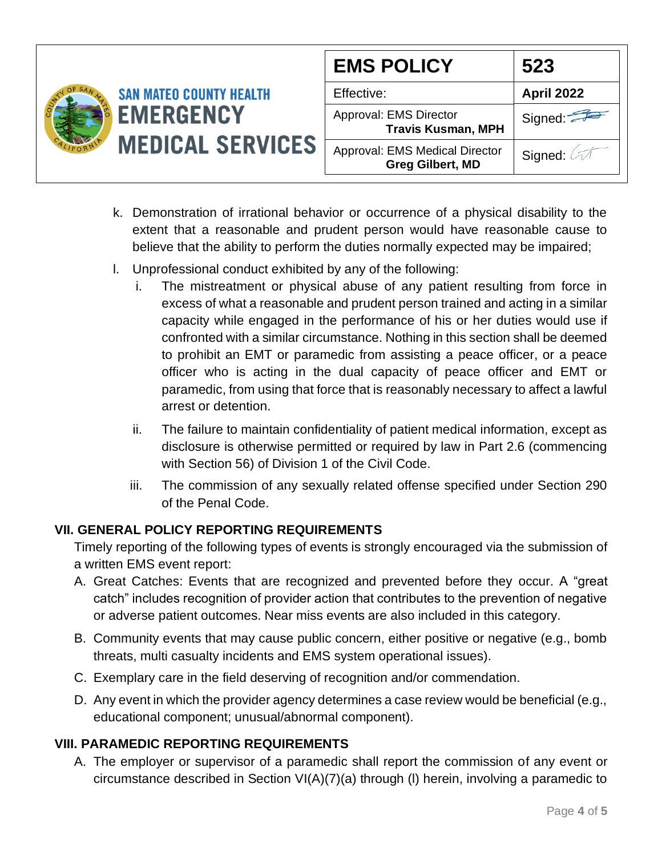|                                                                               | <b>EMS POLICY</b>                                         | 523               |
|-------------------------------------------------------------------------------|-----------------------------------------------------------|-------------------|
| <b>SAN MATEO COUNTY HEALTH</b><br><b>EMERGENCY</b><br><b>MEDICAL SERVICES</b> | Effective:                                                | <b>April 2022</b> |
|                                                                               | Approval: EMS Director<br><b>Travis Kusman, MPH</b>       | Signed:           |
|                                                                               | Approval: EMS Medical Director<br><b>Greg Gilbert, MD</b> | Signed:           |

- k. Demonstration of irrational behavior or occurrence of a physical disability to the extent that a reasonable and prudent person would have reasonable cause to believe that the ability to perform the duties normally expected may be impaired;
- l. Unprofessional conduct exhibited by any of the following:
	- i. The mistreatment or physical abuse of any patient resulting from force in excess of what a reasonable and prudent person trained and acting in a similar capacity while engaged in the performance of his or her duties would use if confronted with a similar circumstance. Nothing in this section shall be deemed to prohibit an EMT or paramedic from assisting a peace officer, or a peace officer who is acting in the dual capacity of peace officer and EMT or paramedic, from using that force that is reasonably necessary to affect a lawful arrest or detention.
	- ii. The failure to maintain confidentiality of patient medical information, except as disclosure is otherwise permitted or required by law in Part 2.6 (commencing with Section 56) of Division 1 of the Civil Code.
	- iii. The commission of any sexually related offense specified under Section 290 of the Penal Code.

## **VII. GENERAL POLICY REPORTING REQUIREMENTS**

Timely reporting of the following types of events is strongly encouraged via the submission of a written EMS event report:

- A. Great Catches: Events that are recognized and prevented before they occur. A "great catch" includes recognition of provider action that contributes to the prevention of negative or adverse patient outcomes. Near miss events are also included in this category.
- B. Community events that may cause public concern, either positive or negative (e.g., bomb threats, multi casualty incidents and EMS system operational issues).
- C. Exemplary care in the field deserving of recognition and/or commendation.
- D. Any event in which the provider agency determines a case review would be beneficial (e.g., educational component; unusual/abnormal component).

## **VIII. PARAMEDIC REPORTING REQUIREMENTS**

A. The employer or supervisor of a paramedic shall report the commission of any event or circumstance described in Section VI(A)(7)(a) through (l) herein, involving a paramedic to